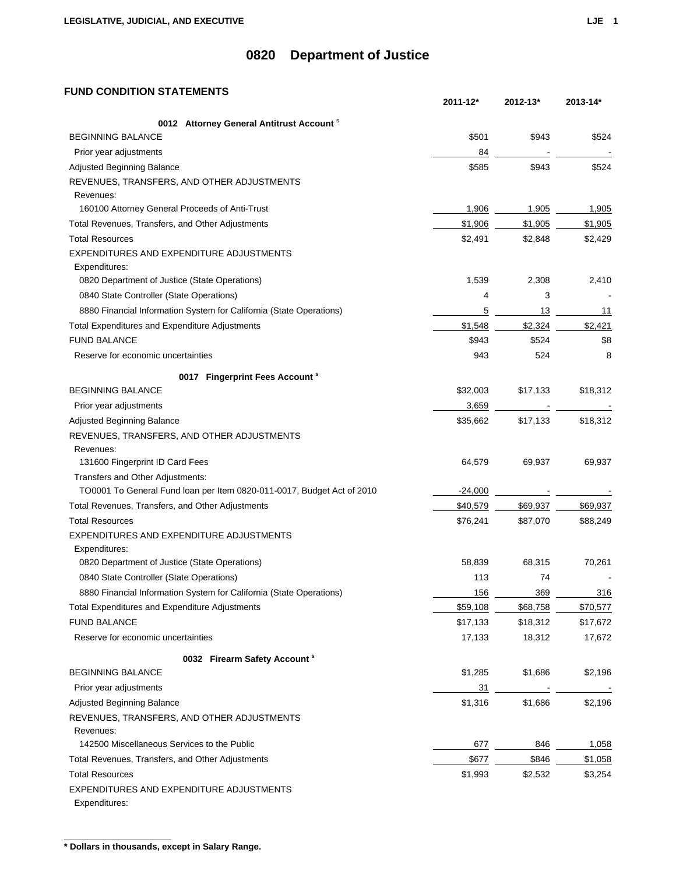## **FUND CONDITION STATEMENTS**

|                                                                        | 2011-12*  | 2012-13* | 2013-14* |
|------------------------------------------------------------------------|-----------|----------|----------|
| 0012 Attorney General Antitrust Account <sup>s</sup>                   |           |          |          |
| <b>BEGINNING BALANCE</b>                                               | \$501     | \$943    | \$524    |
| Prior year adjustments                                                 | 84        |          |          |
| Adjusted Beginning Balance                                             | \$585     | \$943    | \$524    |
| REVENUES, TRANSFERS, AND OTHER ADJUSTMENTS                             |           |          |          |
| Revenues:                                                              |           |          |          |
| 160100 Attorney General Proceeds of Anti-Trust                         | 1,906     | 1,905    | 1,905    |
| Total Revenues, Transfers, and Other Adjustments                       | \$1,906   | \$1,905  | \$1,905  |
| <b>Total Resources</b>                                                 | \$2,491   | \$2,848  | \$2,429  |
| EXPENDITURES AND EXPENDITURE ADJUSTMENTS<br>Expenditures:              |           |          |          |
| 0820 Department of Justice (State Operations)                          | 1,539     | 2,308    | 2,410    |
| 0840 State Controller (State Operations)                               | 4         | 3        |          |
| 8880 Financial Information System for California (State Operations)    | 5         | 13       | 11       |
| Total Expenditures and Expenditure Adjustments                         | \$1,548   | \$2,324  | \$2,421  |
| <b>FUND BALANCE</b>                                                    | \$943     | \$524    | \$8      |
| Reserve for economic uncertainties                                     | 943       | 524      | 8        |
| 0017 Fingerprint Fees Account <sup>s</sup>                             |           |          |          |
| <b>BEGINNING BALANCE</b>                                               | \$32,003  | \$17,133 | \$18,312 |
| Prior year adjustments                                                 | 3,659     |          |          |
| Adjusted Beginning Balance                                             | \$35,662  | \$17,133 | \$18,312 |
| REVENUES, TRANSFERS, AND OTHER ADJUSTMENTS                             |           |          |          |
| Revenues:                                                              |           |          |          |
| 131600 Fingerprint ID Card Fees                                        | 64,579    | 69,937   | 69,937   |
| Transfers and Other Adjustments:                                       |           |          |          |
| TO0001 To General Fund loan per Item 0820-011-0017, Budget Act of 2010 | $-24,000$ |          |          |
| Total Revenues, Transfers, and Other Adjustments                       | \$40,579  | \$69,937 | \$69,937 |
| <b>Total Resources</b>                                                 | \$76,241  | \$87,070 | \$88,249 |
| EXPENDITURES AND EXPENDITURE ADJUSTMENTS                               |           |          |          |
| Expenditures:                                                          |           |          |          |
| 0820 Department of Justice (State Operations)                          | 58,839    | 68,315   | 70,261   |
| 0840 State Controller (State Operations)                               | 113       | 74       |          |
| 8880 Financial Information System for California (State Operations)    | 156       | 369      | 316      |
| Total Expenditures and Expenditure Adjustments                         | \$59,108  | \$68,758 | \$70,577 |
| <b>FUND BALANCE</b>                                                    | \$17,133  | \$18,312 | \$17,672 |
| Reserve for economic uncertainties                                     | 17,133    | 18,312   | 17,672   |
| 0032 Firearm Safety Account <sup>s</sup>                               |           |          |          |
| <b>BEGINNING BALANCE</b>                                               | \$1,285   | \$1,686  | \$2,196  |
| Prior year adjustments                                                 | 31        |          |          |
| Adjusted Beginning Balance                                             | \$1,316   | \$1,686  | \$2,196  |
| REVENUES, TRANSFERS, AND OTHER ADJUSTMENTS                             |           |          |          |
| Revenues:                                                              |           |          |          |
| 142500 Miscellaneous Services to the Public                            | 677       | 846      | 1,058    |
| Total Revenues, Transfers, and Other Adjustments                       | \$677     | \$846    | \$1,058  |
| <b>Total Resources</b>                                                 | \$1,993   | \$2,532  | \$3,254  |
| EXPENDITURES AND EXPENDITURE ADJUSTMENTS<br>Expenditures:              |           |          |          |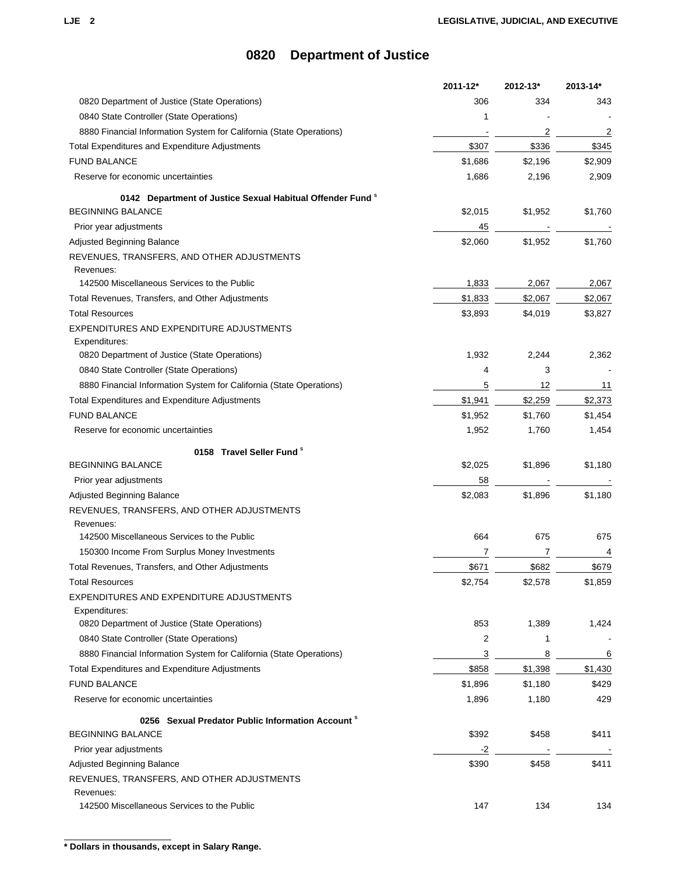|                                                                       | 2011-12* | 2012-13*       | 2013-14* |
|-----------------------------------------------------------------------|----------|----------------|----------|
| 0820 Department of Justice (State Operations)                         | 306      | 334            | 343      |
| 0840 State Controller (State Operations)                              | 1        |                |          |
| 8880 Financial Information System for California (State Operations)   |          | $\overline{2}$ | 2        |
| Total Expenditures and Expenditure Adjustments                        | \$307    | \$336          | \$345    |
| <b>FUND BALANCE</b>                                                   | \$1,686  | \$2,196        | \$2,909  |
| Reserve for economic uncertainties                                    | 1,686    | 2,196          | 2,909    |
| 0142 Department of Justice Sexual Habitual Offender Fund <sup>8</sup> |          |                |          |
| <b>BEGINNING BALANCE</b>                                              | \$2,015  | \$1,952        | \$1,760  |
| Prior year adjustments                                                | 45       |                |          |
| Adjusted Beginning Balance                                            | \$2,060  | \$1,952        | \$1,760  |
| REVENUES, TRANSFERS, AND OTHER ADJUSTMENTS                            |          |                |          |
| Revenues:                                                             |          |                |          |
| 142500 Miscellaneous Services to the Public                           | 1,833    | 2,067          | 2,067    |
| Total Revenues, Transfers, and Other Adjustments                      | \$1,833  | \$2,067        | \$2,067  |
| <b>Total Resources</b>                                                | \$3,893  | \$4,019        | \$3,827  |
| EXPENDITURES AND EXPENDITURE ADJUSTMENTS                              |          |                |          |
| Expenditures:                                                         |          |                |          |
| 0820 Department of Justice (State Operations)                         | 1,932    | 2,244          | 2,362    |
| 0840 State Controller (State Operations)                              | 4        | 3              |          |
| 8880 Financial Information System for California (State Operations)   | 5        | 12             | 11       |
| Total Expenditures and Expenditure Adjustments                        | \$1,941  | \$2,259        | \$2,373  |
| <b>FUND BALANCE</b>                                                   | \$1,952  | \$1,760        | \$1,454  |
| Reserve for economic uncertainties                                    | 1,952    | 1,760          | 1,454    |
| 0158 Travel Seller Fund <sup>s</sup>                                  |          |                |          |
| <b>BEGINNING BALANCE</b>                                              | \$2,025  | \$1,896        | \$1,180  |
| Prior year adjustments                                                | 58       |                |          |
| Adjusted Beginning Balance                                            | \$2,083  | \$1,896        | \$1,180  |
| REVENUES, TRANSFERS, AND OTHER ADJUSTMENTS                            |          |                |          |
| Revenues:                                                             |          |                |          |
| 142500 Miscellaneous Services to the Public                           | 664      | 675            | 675      |
| 150300 Income From Surplus Money Investments                          |          |                | 4        |
| Total Revenues, Transfers, and Other Adjustments                      | \$671    | \$682          | \$679    |
| <b>Total Resources</b>                                                | \$2,754  | \$2,578        | \$1,859  |
| EXPENDITURES AND EXPENDITURE ADJUSTMENTS                              |          |                |          |
| Expenditures:                                                         |          |                |          |
| 0820 Department of Justice (State Operations)                         | 853      | 1,389          | 1,424    |
| 0840 State Controller (State Operations)                              | 2        | 1              |          |
| 8880 Financial Information System for California (State Operations)   | 3        | 8              | 6        |
| Total Expenditures and Expenditure Adjustments                        | \$858    | \$1,398        | \$1,430  |
| <b>FUND BALANCE</b>                                                   | \$1,896  | \$1,180        | \$429    |
| Reserve for economic uncertainties                                    | 1,896    | 1,180          | 429      |
| 0256 Sexual Predator Public Information Account <sup>8</sup>          |          |                |          |
| <b>BEGINNING BALANCE</b>                                              | \$392    | \$458          | \$411    |
| Prior year adjustments                                                | $-2$     |                |          |
| Adjusted Beginning Balance                                            | \$390    | \$458          | \$411    |
| REVENUES, TRANSFERS, AND OTHER ADJUSTMENTS                            |          |                |          |
| Revenues:                                                             |          |                |          |
| 142500 Miscellaneous Services to the Public                           | 147      | 134            | 134      |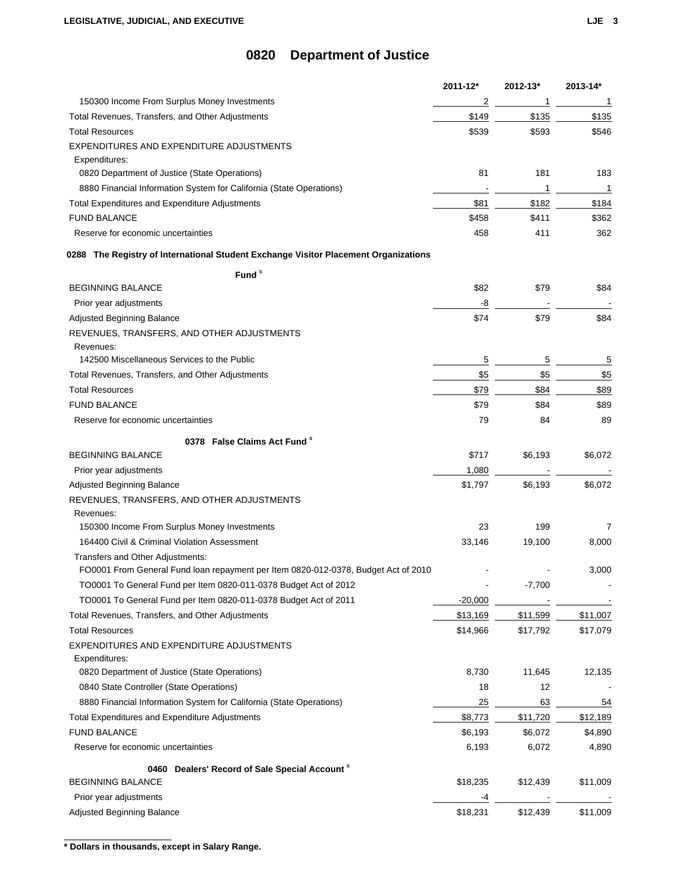|                                                                                     | 2011-12*  | 2012-13* | 2013-14* |
|-------------------------------------------------------------------------------------|-----------|----------|----------|
| 150300 Income From Surplus Money Investments                                        | 2         | 1        | 1        |
| Total Revenues, Transfers, and Other Adjustments                                    | \$149     | \$135    | \$135    |
| <b>Total Resources</b>                                                              | \$539     | \$593    | \$546    |
| EXPENDITURES AND EXPENDITURE ADJUSTMENTS                                            |           |          |          |
| Expenditures:                                                                       |           |          |          |
| 0820 Department of Justice (State Operations)                                       | 81        | 181      | 183      |
| 8880 Financial Information System for California (State Operations)                 |           | 1        | 1        |
| <b>Total Expenditures and Expenditure Adjustments</b>                               | \$81      | \$182    | \$184    |
| <b>FUND BALANCE</b>                                                                 | \$458     | \$411    | \$362    |
| Reserve for economic uncertainties                                                  | 458       | 411      | 362      |
| 0288 The Registry of International Student Exchange Visitor Placement Organizations |           |          |          |
| Fund <sup>s</sup>                                                                   |           |          |          |
| <b>BEGINNING BALANCE</b>                                                            | \$82      | \$79     | \$84     |
| Prior year adjustments                                                              | -8        |          |          |
| Adjusted Beginning Balance                                                          | \$74      | \$79     | \$84     |
| REVENUES, TRANSFERS, AND OTHER ADJUSTMENTS                                          |           |          |          |
| Revenues:                                                                           |           |          |          |
| 142500 Miscellaneous Services to the Public                                         | 5         | 5        | 5        |
| Total Revenues, Transfers, and Other Adjustments                                    | \$5       | \$5      | \$5      |
| <b>Total Resources</b>                                                              | \$79      | \$84     | \$89     |
| <b>FUND BALANCE</b>                                                                 | \$79      | \$84     | \$89     |
| Reserve for economic uncertainties                                                  | 79        | 84       | 89       |
| 0378 False Claims Act Fund <sup>\$</sup>                                            |           |          |          |
| <b>BEGINNING BALANCE</b>                                                            | \$717     | \$6,193  | \$6,072  |
| Prior year adjustments                                                              | 1,080     |          |          |
| Adjusted Beginning Balance                                                          | \$1,797   | \$6,193  | \$6,072  |
| REVENUES, TRANSFERS, AND OTHER ADJUSTMENTS                                          |           |          |          |
| Revenues:                                                                           |           |          |          |
| 150300 Income From Surplus Money Investments                                        | 23        | 199      | 7        |
| 164400 Civil & Criminal Violation Assessment                                        | 33,146    | 19,100   | 8,000    |
| Transfers and Other Adjustments:                                                    |           |          |          |
| FO0001 From General Fund loan repayment per Item 0820-012-0378, Budget Act of 2010  |           |          | 3,000    |
| TO0001 To General Fund per Item 0820-011-0378 Budget Act of 2012                    |           | $-7,700$ |          |
| TO0001 To General Fund per Item 0820-011-0378 Budget Act of 2011                    | $-20,000$ |          |          |
| Total Revenues, Transfers, and Other Adjustments                                    | \$13,169  | \$11,599 | \$11,007 |
| <b>Total Resources</b>                                                              | \$14,966  | \$17,792 | \$17,079 |
| EXPENDITURES AND EXPENDITURE ADJUSTMENTS                                            |           |          |          |
| Expenditures:                                                                       |           |          |          |
| 0820 Department of Justice (State Operations)                                       | 8,730     | 11,645   | 12,135   |
| 0840 State Controller (State Operations)                                            | 18        | 12       |          |
| 8880 Financial Information System for California (State Operations)                 | 25        | 63       | 54       |
| <b>Total Expenditures and Expenditure Adjustments</b>                               | \$8,773   | \$11,720 | \$12,189 |
| <b>FUND BALANCE</b>                                                                 | \$6,193   | \$6,072  | \$4,890  |
| Reserve for economic uncertainties                                                  | 6,193     | 6,072    | 4,890    |
| Dealers' Record of Sale Special Account <sup>8</sup><br>0460                        |           |          |          |
| <b>BEGINNING BALANCE</b>                                                            | \$18,235  | \$12,439 | \$11,009 |
| Prior year adjustments                                                              | -4        |          |          |
| Adjusted Beginning Balance                                                          | \$18,231  | \$12,439 | \$11,009 |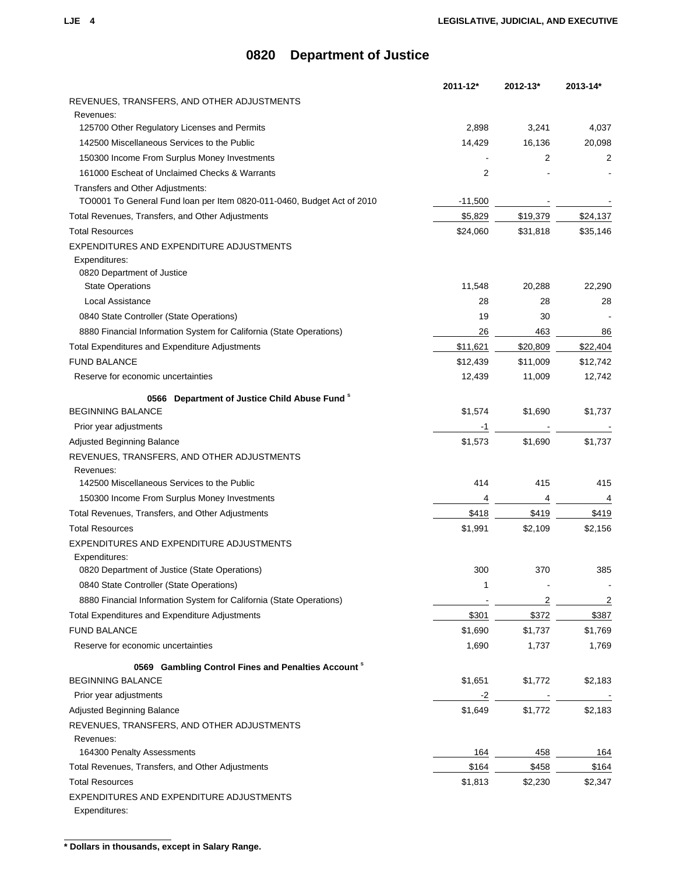|                                                                        | 2011-12*  | 2012-13* | 2013-14* |
|------------------------------------------------------------------------|-----------|----------|----------|
| REVENUES, TRANSFERS, AND OTHER ADJUSTMENTS                             |           |          |          |
| Revenues:                                                              |           |          |          |
| 125700 Other Regulatory Licenses and Permits                           | 2,898     | 3,241    | 4,037    |
| 142500 Miscellaneous Services to the Public                            | 14,429    | 16,136   | 20,098   |
| 150300 Income From Surplus Money Investments                           |           | 2        | 2        |
| 161000 Escheat of Unclaimed Checks & Warrants                          | 2         |          |          |
| Transfers and Other Adjustments:                                       |           |          |          |
| TO0001 To General Fund loan per Item 0820-011-0460, Budget Act of 2010 | $-11,500$ |          |          |
| Total Revenues, Transfers, and Other Adjustments                       | \$5,829   | \$19,379 | \$24,137 |
| <b>Total Resources</b>                                                 | \$24,060  | \$31,818 | \$35,146 |
| EXPENDITURES AND EXPENDITURE ADJUSTMENTS                               |           |          |          |
| Expenditures:<br>0820 Department of Justice                            |           |          |          |
| <b>State Operations</b>                                                | 11,548    | 20,288   | 22,290   |
| Local Assistance                                                       | 28        | 28       | 28       |
| 0840 State Controller (State Operations)                               | 19        | 30       |          |
| 8880 Financial Information System for California (State Operations)    | 26        | 463      | 86       |
| Total Expenditures and Expenditure Adjustments                         | \$11,621  | \$20,809 | \$22,404 |
| <b>FUND BALANCE</b>                                                    | \$12,439  | \$11,009 | \$12,742 |
|                                                                        |           |          |          |
| Reserve for economic uncertainties                                     | 12,439    | 11,009   | 12,742   |
| 0566 Department of Justice Child Abuse Fund <sup>s</sup>               |           |          |          |
| <b>BEGINNING BALANCE</b>                                               | \$1,574   | \$1,690  | \$1,737  |
| Prior year adjustments                                                 | -1        |          |          |
| Adjusted Beginning Balance                                             | \$1,573   | \$1,690  | \$1,737  |
| REVENUES, TRANSFERS, AND OTHER ADJUSTMENTS                             |           |          |          |
| Revenues:                                                              |           |          |          |
| 142500 Miscellaneous Services to the Public                            | 414       | 415      | 415      |
| 150300 Income From Surplus Money Investments                           | 4         | 4        | 4        |
| Total Revenues, Transfers, and Other Adjustments                       | \$418     | \$419    | \$419    |
| <b>Total Resources</b>                                                 | \$1,991   | \$2,109  | \$2,156  |
| EXPENDITURES AND EXPENDITURE ADJUSTMENTS                               |           |          |          |
| Expenditures:                                                          |           |          |          |
| 0820 Department of Justice (State Operations)                          | 300       | 370      | 385      |
| 0840 State Controller (State Operations)                               | 1         |          |          |
| 8880 Financial Information System for California (State Operations)    |           | 2        | 2        |
| Total Expenditures and Expenditure Adjustments                         | \$301     | \$372    | \$387    |
| <b>FUND BALANCE</b>                                                    | \$1,690   | \$1,737  | \$1,769  |
| Reserve for economic uncertainties                                     | 1,690     | 1,737    | 1,769    |
| 0569 Gambling Control Fines and Penalties Account <sup>8</sup>         |           |          |          |
| <b>BEGINNING BALANCE</b>                                               | \$1,651   | \$1,772  | \$2,183  |
| Prior year adjustments                                                 | -2        |          |          |
| Adjusted Beginning Balance                                             | \$1,649   | \$1,772  | \$2,183  |
| REVENUES, TRANSFERS, AND OTHER ADJUSTMENTS                             |           |          |          |
| Revenues:                                                              |           |          |          |
| 164300 Penalty Assessments                                             | 164       | 458      | 164      |
| Total Revenues, Transfers, and Other Adjustments                       | \$164     | \$458    | \$164    |
| <b>Total Resources</b>                                                 | \$1,813   | \$2,230  | \$2,347  |
| EXPENDITURES AND EXPENDITURE ADJUSTMENTS                               |           |          |          |
| Expenditures:                                                          |           |          |          |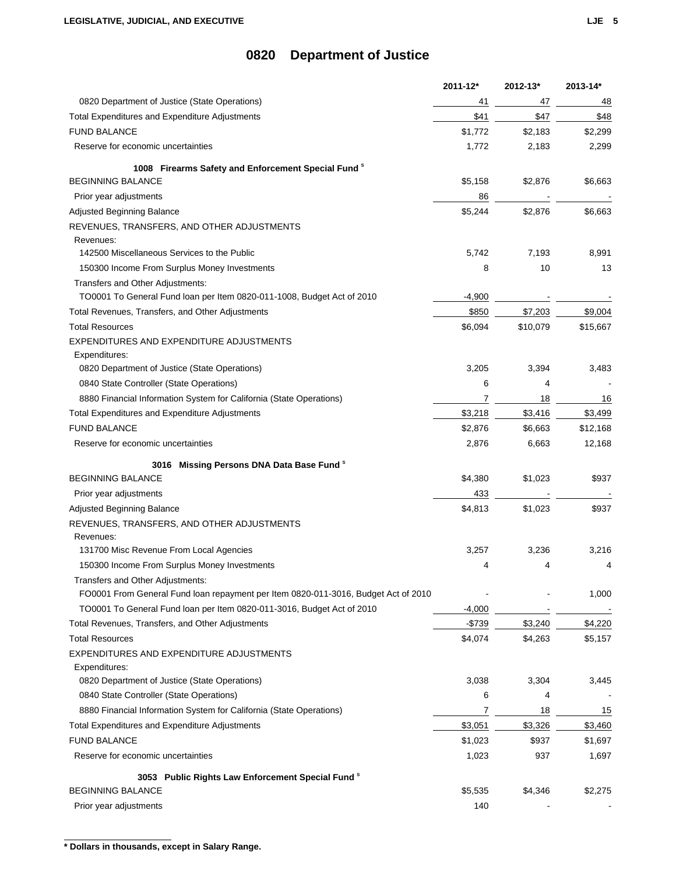|                                                                                          | 2011-12* | 2012-13* | 2013-14* |
|------------------------------------------------------------------------------------------|----------|----------|----------|
| 0820 Department of Justice (State Operations)                                            | 41       | 47       | 48       |
| <b>Total Expenditures and Expenditure Adjustments</b>                                    | \$41     | \$47     | \$48     |
| <b>FUND BALANCE</b>                                                                      | \$1,772  | \$2,183  | \$2,299  |
| Reserve for economic uncertainties                                                       | 1,772    | 2,183    | 2,299    |
| 1008 Firearms Safety and Enforcement Special Fund <sup>8</sup>                           |          |          |          |
| <b>BEGINNING BALANCE</b>                                                                 | \$5,158  | \$2,876  | \$6,663  |
| Prior year adjustments                                                                   | 86       |          |          |
| <b>Adjusted Beginning Balance</b>                                                        | \$5,244  | \$2,876  | \$6,663  |
| REVENUES, TRANSFERS, AND OTHER ADJUSTMENTS                                               |          |          |          |
| Revenues:                                                                                |          |          |          |
| 142500 Miscellaneous Services to the Public                                              | 5,742    | 7,193    | 8,991    |
| 150300 Income From Surplus Money Investments                                             | 8        | 10       | 13       |
| Transfers and Other Adjustments:                                                         |          |          |          |
| TO0001 To General Fund loan per Item 0820-011-1008, Budget Act of 2010                   | $-4,900$ |          |          |
| Total Revenues, Transfers, and Other Adjustments                                         | \$850    | \$7,203  | \$9,004  |
| <b>Total Resources</b>                                                                   | \$6,094  | \$10,079 | \$15,667 |
| EXPENDITURES AND EXPENDITURE ADJUSTMENTS<br>Expenditures:                                |          |          |          |
| 0820 Department of Justice (State Operations)                                            | 3,205    | 3,394    | 3,483    |
| 0840 State Controller (State Operations)                                                 | 6        | 4        |          |
| 8880 Financial Information System for California (State Operations)                      | 7        | 18       | 16       |
| Total Expenditures and Expenditure Adjustments                                           | \$3,218  | \$3,416  | \$3,499  |
| <b>FUND BALANCE</b>                                                                      | \$2,876  | \$6,663  | \$12,168 |
| Reserve for economic uncertainties                                                       | 2,876    | 6,663    | 12,168   |
| 3016 Missing Persons DNA Data Base Fund <sup>8</sup>                                     |          |          |          |
| <b>BEGINNING BALANCE</b>                                                                 | \$4,380  | \$1,023  | \$937    |
| Prior year adjustments                                                                   | 433      |          |          |
| Adjusted Beginning Balance                                                               | \$4,813  | \$1,023  | \$937    |
| REVENUES, TRANSFERS, AND OTHER ADJUSTMENTS                                               |          |          |          |
| Revenues:                                                                                |          |          |          |
| 131700 Misc Revenue From Local Agencies                                                  | 3,257    | 3,236    | 3,216    |
| 150300 Income From Surplus Money Investments                                             | 4        | 4        | 4        |
| Transfers and Other Adjustments:                                                         |          |          |          |
| FO0001 From General Fund loan repayment per Item 0820-011-3016, Budget Act of 2010       |          |          | 1,000    |
| TO0001 To General Fund loan per Item 0820-011-3016, Budget Act of 2010                   | $-4,000$ |          |          |
| Total Revenues, Transfers, and Other Adjustments                                         | $-$739$  | \$3,240  | \$4,220  |
| <b>Total Resources</b>                                                                   | \$4,074  | \$4,263  | \$5,157  |
| EXPENDITURES AND EXPENDITURE ADJUSTMENTS                                                 |          |          |          |
| Expenditures:<br>0820 Department of Justice (State Operations)                           | 3,038    | 3,304    | 3,445    |
| 0840 State Controller (State Operations)                                                 | 6        | 4        |          |
| 8880 Financial Information System for California (State Operations)                      | 7        | 18       | 15       |
| <b>Total Expenditures and Expenditure Adjustments</b>                                    | \$3,051  | \$3,326  | \$3,460  |
| <b>FUND BALANCE</b>                                                                      | \$1,023  | \$937    | \$1,697  |
| Reserve for economic uncertainties                                                       | 1,023    | 937      | 1,697    |
|                                                                                          |          |          |          |
| 3053 Public Rights Law Enforcement Special Fund <sup>8</sup><br><b>BEGINNING BALANCE</b> | \$5,535  | \$4,346  | \$2,275  |
| Prior year adjustments                                                                   | 140      |          |          |
|                                                                                          |          |          |          |

**<sup>\*</sup> Dollars in thousands, except in Salary Range.**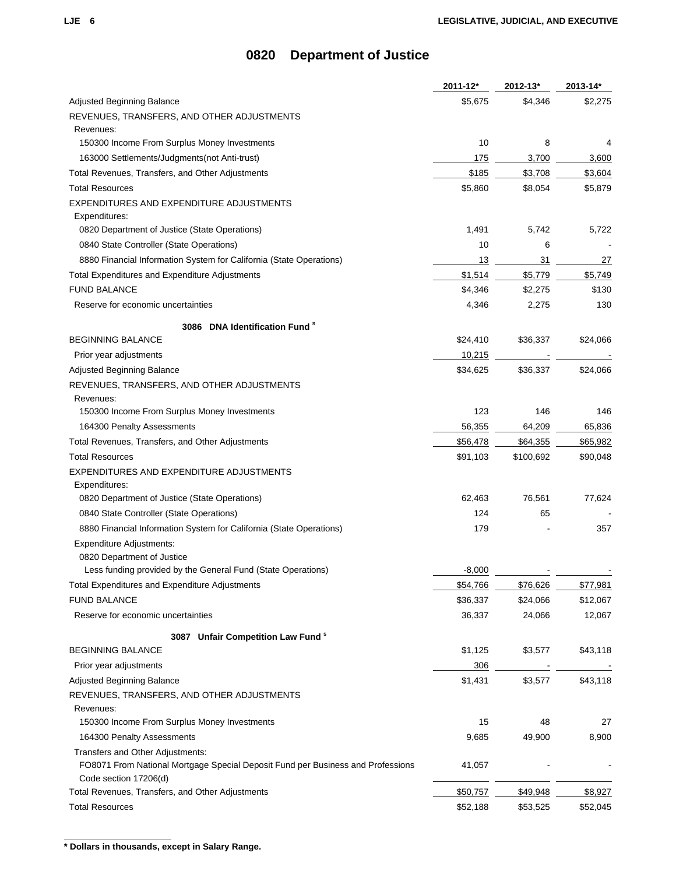| \$5,675<br>\$4,346<br>Adjusted Beginning Balance<br>REVENUES, TRANSFERS, AND OTHER ADJUSTMENTS<br>Revenues:<br>10<br>8<br>150300 Income From Surplus Money Investments<br>163000 Settlements/Judgments(not Anti-trust)<br>175<br>3,700<br>\$185<br>\$3,708<br>Total Revenues, Transfers, and Other Adjustments<br><b>Total Resources</b><br>\$5,860<br>\$8,054<br>EXPENDITURES AND EXPENDITURE ADJUSTMENTS<br>Expenditures:<br>0820 Department of Justice (State Operations)<br>1,491<br>5,742<br>10<br>0840 State Controller (State Operations)<br>6<br>8880 Financial Information System for California (State Operations)<br>31<br>13<br>27<br>\$1,514<br>\$5,779<br>Total Expenditures and Expenditure Adjustments<br><b>FUND BALANCE</b><br>\$4,346<br>\$2,275<br>Reserve for economic uncertainties<br>4,346<br>2,275<br>3086 DNA Identification Fund <sup>s</sup><br><b>BEGINNING BALANCE</b><br>\$24,410<br>\$36,337<br>Prior year adjustments<br>10,215<br>\$34,625<br>Adjusted Beginning Balance<br>\$36,337<br>REVENUES, TRANSFERS, AND OTHER ADJUSTMENTS<br>Revenues:<br>123<br>150300 Income From Surplus Money Investments<br>146<br>56,355<br>164300 Penalty Assessments<br>64,209<br>Total Revenues, Transfers, and Other Adjustments<br>\$56,478<br>\$64,355<br><b>Total Resources</b><br>\$91,103<br>\$100,692<br>EXPENDITURES AND EXPENDITURE ADJUSTMENTS<br>Expenditures:<br>76,561<br>0820 Department of Justice (State Operations)<br>62,463<br>124<br>0840 State Controller (State Operations)<br>65<br>8880 Financial Information System for California (State Operations)<br>179<br><b>Expenditure Adjustments:</b><br>0820 Department of Justice<br>$-8,000$<br>Less funding provided by the General Fund (State Operations)<br>\$54,766<br>\$77,981<br><b>Total Expenditures and Expenditure Adjustments</b><br>\$76,626<br><b>FUND BALANCE</b><br>\$36,337<br>\$24,066<br>Reserve for economic uncertainties<br>36,337<br>24,066<br>3087 Unfair Competition Law Fund <sup>s</sup><br><b>BEGINNING BALANCE</b><br>\$1,125<br>\$3,577<br>Prior year adjustments<br>306<br>\$1,431<br>\$3,577<br>Adjusted Beginning Balance<br>REVENUES, TRANSFERS, AND OTHER ADJUSTMENTS<br>Revenues:<br>150300 Income From Surplus Money Investments<br>15<br>48<br>164300 Penalty Assessments<br>9,685<br>49,900<br>Transfers and Other Adjustments:<br>FO8071 From National Mortgage Special Deposit Fund per Business and Professions<br>41,057<br>Code section 17206(d)<br>Total Revenues, Transfers, and Other Adjustments<br>\$50,757<br>\$49,948 | 2011-12* | 2012-13* | 2013-14* |
|--------------------------------------------------------------------------------------------------------------------------------------------------------------------------------------------------------------------------------------------------------------------------------------------------------------------------------------------------------------------------------------------------------------------------------------------------------------------------------------------------------------------------------------------------------------------------------------------------------------------------------------------------------------------------------------------------------------------------------------------------------------------------------------------------------------------------------------------------------------------------------------------------------------------------------------------------------------------------------------------------------------------------------------------------------------------------------------------------------------------------------------------------------------------------------------------------------------------------------------------------------------------------------------------------------------------------------------------------------------------------------------------------------------------------------------------------------------------------------------------------------------------------------------------------------------------------------------------------------------------------------------------------------------------------------------------------------------------------------------------------------------------------------------------------------------------------------------------------------------------------------------------------------------------------------------------------------------------------------------------------------------------------------------------------------------------------------------------------------------------------------------------------------------------------------------------------------------------------------------------------------------------------------------------------------------------------------------------------------------------------------------------------------------------------------------------------------------------------------------------------------------------------------------------------------------------|----------|----------|----------|
|                                                                                                                                                                                                                                                                                                                                                                                                                                                                                                                                                                                                                                                                                                                                                                                                                                                                                                                                                                                                                                                                                                                                                                                                                                                                                                                                                                                                                                                                                                                                                                                                                                                                                                                                                                                                                                                                                                                                                                                                                                                                                                                                                                                                                                                                                                                                                                                                                                                                                                                                                                    |          |          | \$2,275  |
|                                                                                                                                                                                                                                                                                                                                                                                                                                                                                                                                                                                                                                                                                                                                                                                                                                                                                                                                                                                                                                                                                                                                                                                                                                                                                                                                                                                                                                                                                                                                                                                                                                                                                                                                                                                                                                                                                                                                                                                                                                                                                                                                                                                                                                                                                                                                                                                                                                                                                                                                                                    |          |          |          |
|                                                                                                                                                                                                                                                                                                                                                                                                                                                                                                                                                                                                                                                                                                                                                                                                                                                                                                                                                                                                                                                                                                                                                                                                                                                                                                                                                                                                                                                                                                                                                                                                                                                                                                                                                                                                                                                                                                                                                                                                                                                                                                                                                                                                                                                                                                                                                                                                                                                                                                                                                                    |          |          |          |
|                                                                                                                                                                                                                                                                                                                                                                                                                                                                                                                                                                                                                                                                                                                                                                                                                                                                                                                                                                                                                                                                                                                                                                                                                                                                                                                                                                                                                                                                                                                                                                                                                                                                                                                                                                                                                                                                                                                                                                                                                                                                                                                                                                                                                                                                                                                                                                                                                                                                                                                                                                    |          |          |          |
|                                                                                                                                                                                                                                                                                                                                                                                                                                                                                                                                                                                                                                                                                                                                                                                                                                                                                                                                                                                                                                                                                                                                                                                                                                                                                                                                                                                                                                                                                                                                                                                                                                                                                                                                                                                                                                                                                                                                                                                                                                                                                                                                                                                                                                                                                                                                                                                                                                                                                                                                                                    |          |          | 3,600    |
|                                                                                                                                                                                                                                                                                                                                                                                                                                                                                                                                                                                                                                                                                                                                                                                                                                                                                                                                                                                                                                                                                                                                                                                                                                                                                                                                                                                                                                                                                                                                                                                                                                                                                                                                                                                                                                                                                                                                                                                                                                                                                                                                                                                                                                                                                                                                                                                                                                                                                                                                                                    |          |          | \$3,604  |
|                                                                                                                                                                                                                                                                                                                                                                                                                                                                                                                                                                                                                                                                                                                                                                                                                                                                                                                                                                                                                                                                                                                                                                                                                                                                                                                                                                                                                                                                                                                                                                                                                                                                                                                                                                                                                                                                                                                                                                                                                                                                                                                                                                                                                                                                                                                                                                                                                                                                                                                                                                    |          |          | \$5,879  |
|                                                                                                                                                                                                                                                                                                                                                                                                                                                                                                                                                                                                                                                                                                                                                                                                                                                                                                                                                                                                                                                                                                                                                                                                                                                                                                                                                                                                                                                                                                                                                                                                                                                                                                                                                                                                                                                                                                                                                                                                                                                                                                                                                                                                                                                                                                                                                                                                                                                                                                                                                                    |          |          |          |
|                                                                                                                                                                                                                                                                                                                                                                                                                                                                                                                                                                                                                                                                                                                                                                                                                                                                                                                                                                                                                                                                                                                                                                                                                                                                                                                                                                                                                                                                                                                                                                                                                                                                                                                                                                                                                                                                                                                                                                                                                                                                                                                                                                                                                                                                                                                                                                                                                                                                                                                                                                    |          |          |          |
|                                                                                                                                                                                                                                                                                                                                                                                                                                                                                                                                                                                                                                                                                                                                                                                                                                                                                                                                                                                                                                                                                                                                                                                                                                                                                                                                                                                                                                                                                                                                                                                                                                                                                                                                                                                                                                                                                                                                                                                                                                                                                                                                                                                                                                                                                                                                                                                                                                                                                                                                                                    |          |          | 5,722    |
|                                                                                                                                                                                                                                                                                                                                                                                                                                                                                                                                                                                                                                                                                                                                                                                                                                                                                                                                                                                                                                                                                                                                                                                                                                                                                                                                                                                                                                                                                                                                                                                                                                                                                                                                                                                                                                                                                                                                                                                                                                                                                                                                                                                                                                                                                                                                                                                                                                                                                                                                                                    |          |          |          |
|                                                                                                                                                                                                                                                                                                                                                                                                                                                                                                                                                                                                                                                                                                                                                                                                                                                                                                                                                                                                                                                                                                                                                                                                                                                                                                                                                                                                                                                                                                                                                                                                                                                                                                                                                                                                                                                                                                                                                                                                                                                                                                                                                                                                                                                                                                                                                                                                                                                                                                                                                                    |          |          |          |
|                                                                                                                                                                                                                                                                                                                                                                                                                                                                                                                                                                                                                                                                                                                                                                                                                                                                                                                                                                                                                                                                                                                                                                                                                                                                                                                                                                                                                                                                                                                                                                                                                                                                                                                                                                                                                                                                                                                                                                                                                                                                                                                                                                                                                                                                                                                                                                                                                                                                                                                                                                    |          |          | \$5,749  |
|                                                                                                                                                                                                                                                                                                                                                                                                                                                                                                                                                                                                                                                                                                                                                                                                                                                                                                                                                                                                                                                                                                                                                                                                                                                                                                                                                                                                                                                                                                                                                                                                                                                                                                                                                                                                                                                                                                                                                                                                                                                                                                                                                                                                                                                                                                                                                                                                                                                                                                                                                                    |          |          | \$130    |
|                                                                                                                                                                                                                                                                                                                                                                                                                                                                                                                                                                                                                                                                                                                                                                                                                                                                                                                                                                                                                                                                                                                                                                                                                                                                                                                                                                                                                                                                                                                                                                                                                                                                                                                                                                                                                                                                                                                                                                                                                                                                                                                                                                                                                                                                                                                                                                                                                                                                                                                                                                    |          |          | 130      |
|                                                                                                                                                                                                                                                                                                                                                                                                                                                                                                                                                                                                                                                                                                                                                                                                                                                                                                                                                                                                                                                                                                                                                                                                                                                                                                                                                                                                                                                                                                                                                                                                                                                                                                                                                                                                                                                                                                                                                                                                                                                                                                                                                                                                                                                                                                                                                                                                                                                                                                                                                                    |          |          |          |
|                                                                                                                                                                                                                                                                                                                                                                                                                                                                                                                                                                                                                                                                                                                                                                                                                                                                                                                                                                                                                                                                                                                                                                                                                                                                                                                                                                                                                                                                                                                                                                                                                                                                                                                                                                                                                                                                                                                                                                                                                                                                                                                                                                                                                                                                                                                                                                                                                                                                                                                                                                    |          |          | \$24,066 |
|                                                                                                                                                                                                                                                                                                                                                                                                                                                                                                                                                                                                                                                                                                                                                                                                                                                                                                                                                                                                                                                                                                                                                                                                                                                                                                                                                                                                                                                                                                                                                                                                                                                                                                                                                                                                                                                                                                                                                                                                                                                                                                                                                                                                                                                                                                                                                                                                                                                                                                                                                                    |          |          |          |
|                                                                                                                                                                                                                                                                                                                                                                                                                                                                                                                                                                                                                                                                                                                                                                                                                                                                                                                                                                                                                                                                                                                                                                                                                                                                                                                                                                                                                                                                                                                                                                                                                                                                                                                                                                                                                                                                                                                                                                                                                                                                                                                                                                                                                                                                                                                                                                                                                                                                                                                                                                    |          |          | \$24,066 |
|                                                                                                                                                                                                                                                                                                                                                                                                                                                                                                                                                                                                                                                                                                                                                                                                                                                                                                                                                                                                                                                                                                                                                                                                                                                                                                                                                                                                                                                                                                                                                                                                                                                                                                                                                                                                                                                                                                                                                                                                                                                                                                                                                                                                                                                                                                                                                                                                                                                                                                                                                                    |          |          |          |
|                                                                                                                                                                                                                                                                                                                                                                                                                                                                                                                                                                                                                                                                                                                                                                                                                                                                                                                                                                                                                                                                                                                                                                                                                                                                                                                                                                                                                                                                                                                                                                                                                                                                                                                                                                                                                                                                                                                                                                                                                                                                                                                                                                                                                                                                                                                                                                                                                                                                                                                                                                    |          |          |          |
|                                                                                                                                                                                                                                                                                                                                                                                                                                                                                                                                                                                                                                                                                                                                                                                                                                                                                                                                                                                                                                                                                                                                                                                                                                                                                                                                                                                                                                                                                                                                                                                                                                                                                                                                                                                                                                                                                                                                                                                                                                                                                                                                                                                                                                                                                                                                                                                                                                                                                                                                                                    |          |          | 146      |
|                                                                                                                                                                                                                                                                                                                                                                                                                                                                                                                                                                                                                                                                                                                                                                                                                                                                                                                                                                                                                                                                                                                                                                                                                                                                                                                                                                                                                                                                                                                                                                                                                                                                                                                                                                                                                                                                                                                                                                                                                                                                                                                                                                                                                                                                                                                                                                                                                                                                                                                                                                    |          |          | 65,836   |
|                                                                                                                                                                                                                                                                                                                                                                                                                                                                                                                                                                                                                                                                                                                                                                                                                                                                                                                                                                                                                                                                                                                                                                                                                                                                                                                                                                                                                                                                                                                                                                                                                                                                                                                                                                                                                                                                                                                                                                                                                                                                                                                                                                                                                                                                                                                                                                                                                                                                                                                                                                    |          |          | \$65,982 |
|                                                                                                                                                                                                                                                                                                                                                                                                                                                                                                                                                                                                                                                                                                                                                                                                                                                                                                                                                                                                                                                                                                                                                                                                                                                                                                                                                                                                                                                                                                                                                                                                                                                                                                                                                                                                                                                                                                                                                                                                                                                                                                                                                                                                                                                                                                                                                                                                                                                                                                                                                                    |          |          | \$90,048 |
|                                                                                                                                                                                                                                                                                                                                                                                                                                                                                                                                                                                                                                                                                                                                                                                                                                                                                                                                                                                                                                                                                                                                                                                                                                                                                                                                                                                                                                                                                                                                                                                                                                                                                                                                                                                                                                                                                                                                                                                                                                                                                                                                                                                                                                                                                                                                                                                                                                                                                                                                                                    |          |          |          |
|                                                                                                                                                                                                                                                                                                                                                                                                                                                                                                                                                                                                                                                                                                                                                                                                                                                                                                                                                                                                                                                                                                                                                                                                                                                                                                                                                                                                                                                                                                                                                                                                                                                                                                                                                                                                                                                                                                                                                                                                                                                                                                                                                                                                                                                                                                                                                                                                                                                                                                                                                                    |          |          |          |
|                                                                                                                                                                                                                                                                                                                                                                                                                                                                                                                                                                                                                                                                                                                                                                                                                                                                                                                                                                                                                                                                                                                                                                                                                                                                                                                                                                                                                                                                                                                                                                                                                                                                                                                                                                                                                                                                                                                                                                                                                                                                                                                                                                                                                                                                                                                                                                                                                                                                                                                                                                    |          |          | 77,624   |
|                                                                                                                                                                                                                                                                                                                                                                                                                                                                                                                                                                                                                                                                                                                                                                                                                                                                                                                                                                                                                                                                                                                                                                                                                                                                                                                                                                                                                                                                                                                                                                                                                                                                                                                                                                                                                                                                                                                                                                                                                                                                                                                                                                                                                                                                                                                                                                                                                                                                                                                                                                    |          |          |          |
|                                                                                                                                                                                                                                                                                                                                                                                                                                                                                                                                                                                                                                                                                                                                                                                                                                                                                                                                                                                                                                                                                                                                                                                                                                                                                                                                                                                                                                                                                                                                                                                                                                                                                                                                                                                                                                                                                                                                                                                                                                                                                                                                                                                                                                                                                                                                                                                                                                                                                                                                                                    |          |          | 357      |
|                                                                                                                                                                                                                                                                                                                                                                                                                                                                                                                                                                                                                                                                                                                                                                                                                                                                                                                                                                                                                                                                                                                                                                                                                                                                                                                                                                                                                                                                                                                                                                                                                                                                                                                                                                                                                                                                                                                                                                                                                                                                                                                                                                                                                                                                                                                                                                                                                                                                                                                                                                    |          |          |          |
|                                                                                                                                                                                                                                                                                                                                                                                                                                                                                                                                                                                                                                                                                                                                                                                                                                                                                                                                                                                                                                                                                                                                                                                                                                                                                                                                                                                                                                                                                                                                                                                                                                                                                                                                                                                                                                                                                                                                                                                                                                                                                                                                                                                                                                                                                                                                                                                                                                                                                                                                                                    |          |          |          |
|                                                                                                                                                                                                                                                                                                                                                                                                                                                                                                                                                                                                                                                                                                                                                                                                                                                                                                                                                                                                                                                                                                                                                                                                                                                                                                                                                                                                                                                                                                                                                                                                                                                                                                                                                                                                                                                                                                                                                                                                                                                                                                                                                                                                                                                                                                                                                                                                                                                                                                                                                                    |          |          |          |
|                                                                                                                                                                                                                                                                                                                                                                                                                                                                                                                                                                                                                                                                                                                                                                                                                                                                                                                                                                                                                                                                                                                                                                                                                                                                                                                                                                                                                                                                                                                                                                                                                                                                                                                                                                                                                                                                                                                                                                                                                                                                                                                                                                                                                                                                                                                                                                                                                                                                                                                                                                    |          |          |          |
|                                                                                                                                                                                                                                                                                                                                                                                                                                                                                                                                                                                                                                                                                                                                                                                                                                                                                                                                                                                                                                                                                                                                                                                                                                                                                                                                                                                                                                                                                                                                                                                                                                                                                                                                                                                                                                                                                                                                                                                                                                                                                                                                                                                                                                                                                                                                                                                                                                                                                                                                                                    |          |          | \$12,067 |
|                                                                                                                                                                                                                                                                                                                                                                                                                                                                                                                                                                                                                                                                                                                                                                                                                                                                                                                                                                                                                                                                                                                                                                                                                                                                                                                                                                                                                                                                                                                                                                                                                                                                                                                                                                                                                                                                                                                                                                                                                                                                                                                                                                                                                                                                                                                                                                                                                                                                                                                                                                    |          |          | 12,067   |
|                                                                                                                                                                                                                                                                                                                                                                                                                                                                                                                                                                                                                                                                                                                                                                                                                                                                                                                                                                                                                                                                                                                                                                                                                                                                                                                                                                                                                                                                                                                                                                                                                                                                                                                                                                                                                                                                                                                                                                                                                                                                                                                                                                                                                                                                                                                                                                                                                                                                                                                                                                    |          |          |          |
|                                                                                                                                                                                                                                                                                                                                                                                                                                                                                                                                                                                                                                                                                                                                                                                                                                                                                                                                                                                                                                                                                                                                                                                                                                                                                                                                                                                                                                                                                                                                                                                                                                                                                                                                                                                                                                                                                                                                                                                                                                                                                                                                                                                                                                                                                                                                                                                                                                                                                                                                                                    |          |          | \$43,118 |
|                                                                                                                                                                                                                                                                                                                                                                                                                                                                                                                                                                                                                                                                                                                                                                                                                                                                                                                                                                                                                                                                                                                                                                                                                                                                                                                                                                                                                                                                                                                                                                                                                                                                                                                                                                                                                                                                                                                                                                                                                                                                                                                                                                                                                                                                                                                                                                                                                                                                                                                                                                    |          |          |          |
|                                                                                                                                                                                                                                                                                                                                                                                                                                                                                                                                                                                                                                                                                                                                                                                                                                                                                                                                                                                                                                                                                                                                                                                                                                                                                                                                                                                                                                                                                                                                                                                                                                                                                                                                                                                                                                                                                                                                                                                                                                                                                                                                                                                                                                                                                                                                                                                                                                                                                                                                                                    |          |          | \$43,118 |
|                                                                                                                                                                                                                                                                                                                                                                                                                                                                                                                                                                                                                                                                                                                                                                                                                                                                                                                                                                                                                                                                                                                                                                                                                                                                                                                                                                                                                                                                                                                                                                                                                                                                                                                                                                                                                                                                                                                                                                                                                                                                                                                                                                                                                                                                                                                                                                                                                                                                                                                                                                    |          |          |          |
|                                                                                                                                                                                                                                                                                                                                                                                                                                                                                                                                                                                                                                                                                                                                                                                                                                                                                                                                                                                                                                                                                                                                                                                                                                                                                                                                                                                                                                                                                                                                                                                                                                                                                                                                                                                                                                                                                                                                                                                                                                                                                                                                                                                                                                                                                                                                                                                                                                                                                                                                                                    |          |          |          |
|                                                                                                                                                                                                                                                                                                                                                                                                                                                                                                                                                                                                                                                                                                                                                                                                                                                                                                                                                                                                                                                                                                                                                                                                                                                                                                                                                                                                                                                                                                                                                                                                                                                                                                                                                                                                                                                                                                                                                                                                                                                                                                                                                                                                                                                                                                                                                                                                                                                                                                                                                                    |          |          | 27       |
|                                                                                                                                                                                                                                                                                                                                                                                                                                                                                                                                                                                                                                                                                                                                                                                                                                                                                                                                                                                                                                                                                                                                                                                                                                                                                                                                                                                                                                                                                                                                                                                                                                                                                                                                                                                                                                                                                                                                                                                                                                                                                                                                                                                                                                                                                                                                                                                                                                                                                                                                                                    |          |          | 8,900    |
|                                                                                                                                                                                                                                                                                                                                                                                                                                                                                                                                                                                                                                                                                                                                                                                                                                                                                                                                                                                                                                                                                                                                                                                                                                                                                                                                                                                                                                                                                                                                                                                                                                                                                                                                                                                                                                                                                                                                                                                                                                                                                                                                                                                                                                                                                                                                                                                                                                                                                                                                                                    |          |          |          |
|                                                                                                                                                                                                                                                                                                                                                                                                                                                                                                                                                                                                                                                                                                                                                                                                                                                                                                                                                                                                                                                                                                                                                                                                                                                                                                                                                                                                                                                                                                                                                                                                                                                                                                                                                                                                                                                                                                                                                                                                                                                                                                                                                                                                                                                                                                                                                                                                                                                                                                                                                                    |          |          |          |
|                                                                                                                                                                                                                                                                                                                                                                                                                                                                                                                                                                                                                                                                                                                                                                                                                                                                                                                                                                                                                                                                                                                                                                                                                                                                                                                                                                                                                                                                                                                                                                                                                                                                                                                                                                                                                                                                                                                                                                                                                                                                                                                                                                                                                                                                                                                                                                                                                                                                                                                                                                    |          |          | \$8,927  |
| <b>Total Resources</b><br>\$52,188<br>\$53,525                                                                                                                                                                                                                                                                                                                                                                                                                                                                                                                                                                                                                                                                                                                                                                                                                                                                                                                                                                                                                                                                                                                                                                                                                                                                                                                                                                                                                                                                                                                                                                                                                                                                                                                                                                                                                                                                                                                                                                                                                                                                                                                                                                                                                                                                                                                                                                                                                                                                                                                     |          |          | \$52,045 |